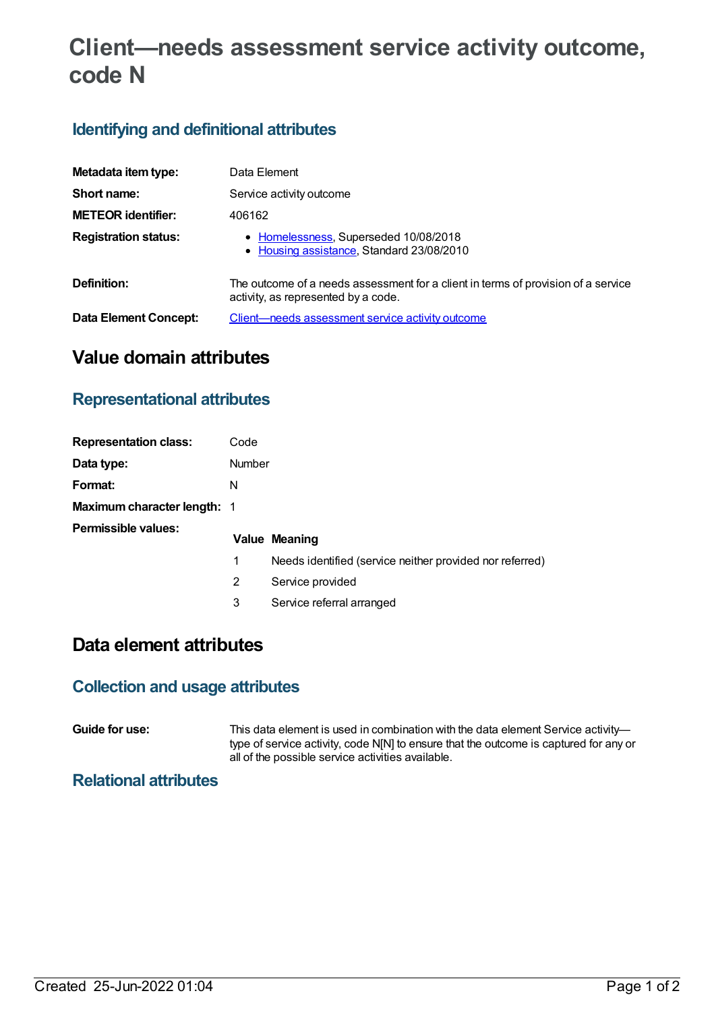# **Client—needs assessment service activity outcome, code N**

## **Identifying and definitional attributes**

| Metadata item type:         | Data Element                                                                                                             |  |  |
|-----------------------------|--------------------------------------------------------------------------------------------------------------------------|--|--|
| Short name:                 | Service activity outcome                                                                                                 |  |  |
| <b>METEOR identifier:</b>   | 406162                                                                                                                   |  |  |
| <b>Registration status:</b> | • Homelessness, Superseded 10/08/2018<br>• Housing assistance, Standard 23/08/2010                                       |  |  |
| Definition:                 | The outcome of a needs assessment for a client in terms of provision of a service<br>activity, as represented by a code. |  |  |
| Data Element Concept:       | Client—needs assessment service activity outcome                                                                         |  |  |

# **Value domain attributes**

### **Representational attributes**

| <b>Representation class:</b> | Code          |                                                          |  |
|------------------------------|---------------|----------------------------------------------------------|--|
| Data type:                   | <b>Number</b> |                                                          |  |
| Format:                      | N             |                                                          |  |
| Maximum character length: 1  |               |                                                          |  |
| <b>Permissible values:</b>   |               | Value Meaning                                            |  |
|                              | 1             | Needs identified (service neither provided nor referred) |  |
|                              | 2             | Service provided                                         |  |
|                              | 3             | Service referral arranged                                |  |

# **Data element attributes**

#### **Collection and usage attributes**

**Guide for use:** This data element is used in combination with the data element Service activity type of service activity, code N[N] to ensure that the outcome is captured for any or all of the possible service activities available.

#### **Relational attributes**